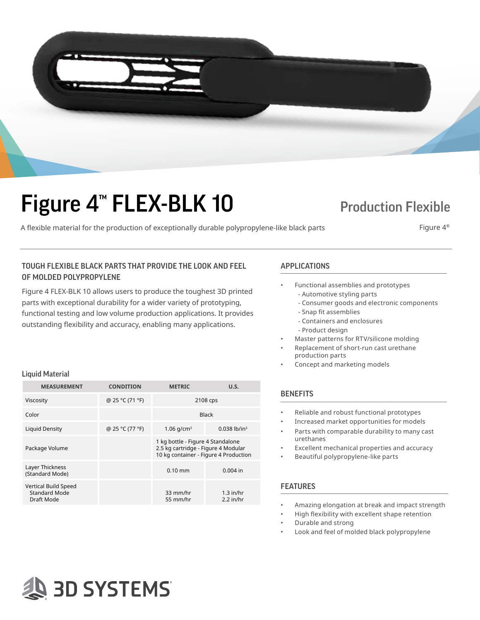

# Figure 4<sup>™</sup> FLEX-BLK 10 Production Flexible

A flexible material for the production of exceptionally durable polypropylene-like black parts Figure 4<sup>®</sup>

## TOUGH FLEXIBLE BLACK PARTS THAT PROVIDE THE LOOK AND FEEL APPLICATIONS OF MOLDED POLYPROPYLENE

Figure 4 FLEX-BLK 10 allows users to produce the toughest 3D printed parts with exceptional durability for a wider variety of prototyping, functional testing and low volume production applications. It provides outstanding flexibility and accuracy, enabling many applications.

### Liquid Material

| <b>MEASUREMENT</b>                                         | <b>CONDITION</b> | <b>METRIC</b>                                                                                                     | U.S.                       |
|------------------------------------------------------------|------------------|-------------------------------------------------------------------------------------------------------------------|----------------------------|
| Viscosity                                                  | @ 25 °C (71 °F)  | 2108 cps                                                                                                          |                            |
| Color                                                      |                  | <b>Black</b>                                                                                                      |                            |
| Liquid Density                                             | @ 25 °C (77 °F)  | 1.06 $q/cm^3$                                                                                                     | $0.038$ lb/in <sup>3</sup> |
| Package Volume                                             |                  | 1 kg bottle - Figure 4 Standalone<br>2.5 kg cartridge - Figure 4 Modular<br>10 kg container - Figure 4 Production |                            |
| Layer Thickness<br>(Standard Mode)                         |                  | $0.10 \text{ mm}$                                                                                                 | $0.004$ in                 |
| Vertical Build Speed<br><b>Standard Mode</b><br>Draft Mode |                  | 33 mm/hr<br>55 mm/hr                                                                                              | $1.3$ in/hr<br>$2.2$ in/hr |

- Functional assemblies and prototypes - Automotive styling parts
	- Consumer goods and electronic components
	- Snap fit assemblies
	- Containers and enclosures
	- Product design
- Master patterns for RTV/silicone molding
- Replacement of short-run cast urethane production parts
- Concept and marketing models

## **BENEFITS**

- Reliable and robust functional prototypes
- Increased market opportunities for models
- Parts with comparable durability to many cast urethanes
- Excellent mechanical properties and accuracy
- Beautiful polypropylene-like parts

## FEATURES

- Amazing elongation at break and impact strength
- High flexibility with excellent shape retention
- Durable and strong
- Look and feel of molded black polypropylene